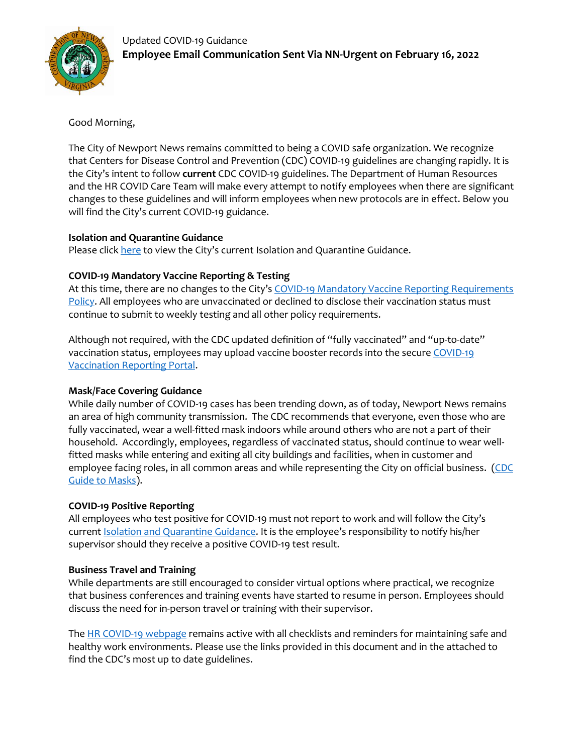

Good Morning,

The City of Newport News remains committed to being a COVID safe organization. We recognize that Centers for Disease Control and Prevention (CDC) COVID-19 guidelines are changing rapidly. It is the City's intent to follow **current** CDC COVID-19 guidelines. The Department of Human Resources and the HR COVID Care Team will make every attempt to notify employees when there are significant changes to these guidelines and will inform employees when new protocols are in effect. Below you will find the City's current COVID-19 guidance.

# **Isolation and Quarantine Guidance**

Please click [here](https://www.nnva.gov/DocumentCenter/View/30372/Isolate-_Quarantine-Guidance) to view the City's current Isolation and Quarantine Guidance.

# **COVID-19 Mandatory Vaccine Reporting & Testing**

At this time, there are no changes to the City's [COVID-19 Mandatory Vaccine Reporting Requirements](https://www.nnva.gov/DocumentCenter/View/29469/FAQs---COVID-19-Mandatory-Vaccine-Reporting)  [Policy.](https://www.nnva.gov/DocumentCenter/View/29469/FAQs---COVID-19-Mandatory-Vaccine-Reporting) All employees who are unvaccinated or declined to disclose their vaccination status must continue to submit to weekly testing and all other policy requirements.

Although not required, with the CDC updated definition of "fully vaccinated" and "up-to-date" vaccination status, employees may upload vaccine booster records into the secure [COVID-19](https://apps.nnva.gov/hub/VaccinationPortal.aspx)  [Vaccination Reporting Portal.](https://apps.nnva.gov/hub/VaccinationPortal.aspx)

# **Mask/Face Covering Guidance**

While daily number of COVID-19 cases has been trending down, as of today, Newport News remains an area of high community transmission. The CDC recommends that everyone, even those who are fully vaccinated, wear a well-fitted mask indoors while around others who are not a part of their household. Accordingly, employees, regardless of vaccinated status, should continue to wear wellfitted masks while entering and exiting all city buildings and facilities, when in customer and employee facing roles, in all common areas and while representing the City on official business. (CDC [Guide to Masks\)](https://www.cdc.gov/coronavirus/2019-ncov/prevent-getting-sick/about-face-coverings.html).

# **COVID-19 Positive Reporting**

All employees who test positive for COVID-19 must not report to work and will follow the City's current [Isolation and Quarantine Guidance.](https://www.nnva.gov/DocumentCenter/View/30372/Isolate-_Quarantine-Guidance) It is the employee's responsibility to notify his/her supervisor should they receive a positive COVID-19 test result.

# **Business Travel and Training**

While departments are still encouraged to consider virtual options where practical, we recognize that business conferences and training events have started to resume in person. Employees should discuss the need for in-person travel or training with their supervisor.

The [HR COVID-19 webpage](https://www.nnva.gov/2689/28608/COVID-19) remains active with all checklists and reminders for maintaining safe and healthy work environments. Please use the links provided in this document and in the attached to find the CDC's most up to date guidelines.